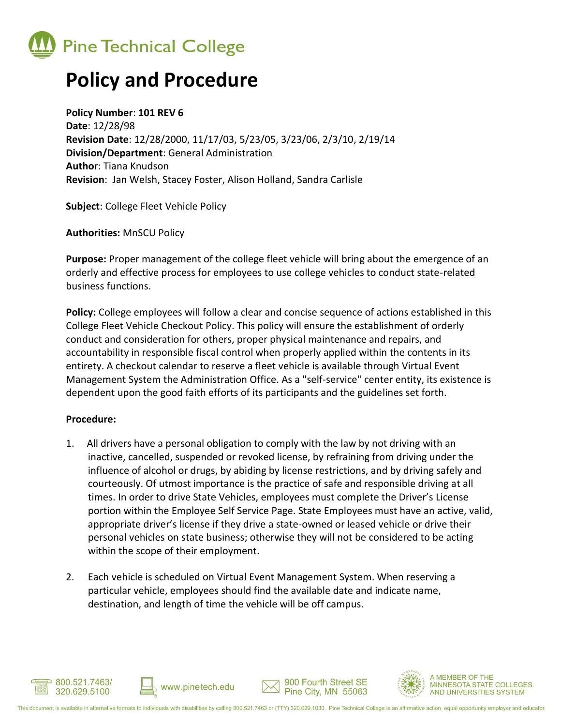

## **Policy and Procedure**

**Policy Number**: **101 REV 6 Date**: 12/28/98 **Revision Date**: 12/28/2000, 11/17/03, 5/23/05, 3/23/06, 2/3/10, 2/19/14 **Division/Department**: General Administration **Autho**r: Tiana Knudson **Revision**: Jan Welsh, Stacey Foster, Alison Holland, Sandra Carlisle

**Subject**: College Fleet Vehicle Policy

**Authorities:** MnSCU Policy

**Purpose:** Proper management of the college fleet vehicle will bring about the emergence of an orderly and effective process for employees to use college vehicles to conduct state-related business functions.

**Policy:** College employees will follow a clear and concise sequence of actions established in this College Fleet Vehicle Checkout Policy. This policy will ensure the establishment of orderly conduct and consideration for others, proper physical maintenance and repairs, and accountability in responsible fiscal control when properly applied within the contents in its entirety. A checkout calendar to reserve a fleet vehicle is available through Virtual Event Management System the Administration Office. As a "self-service" center entity, its existence is dependent upon the good faith efforts of its participants and the guidelines set forth.

## **Procedure:**

- 1. All drivers have a personal obligation to comply with the law by not driving with an inactive, cancelled, suspended or revoked license, by refraining from driving under the influence of alcohol or drugs, by abiding by license restrictions, and by driving safely and courteously. Of utmost importance is the practice of safe and responsible driving at all times. In order to drive State Vehicles, employees must complete the Driver's License portion within the Employee Self Service Page. State Employees must have an active, valid, appropriate driver's license if they drive a state-owned or leased vehicle or drive their personal vehicles on state business; otherwise they will not be considered to be acting within the scope of their employment.
- 2. Each vehicle is scheduled on Virtual Event Management System. When reserving a particular vehicle, employees should find the available date and indicate name, destination, and length of time the vehicle will be off campus.





900 Fourth Street SE

**MEMBER OF THE**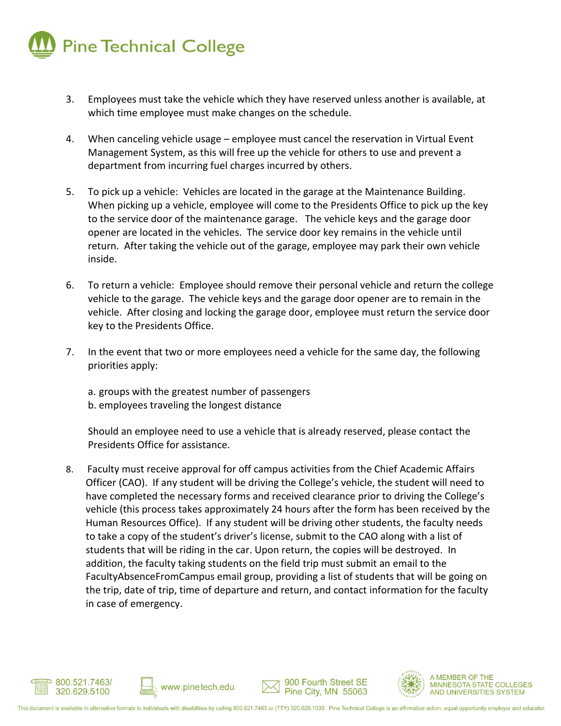

- 3. Employees must take the vehicle which they have reserved unless another is available, at which time employee must make changes on the schedule.
- 4. When canceling vehicle usage employee must cancel the reservation in Virtual Event Management System, as this will free up the vehicle for others to use and prevent a department from incurring fuel charges incurred by others.
- 5. To pick up a vehicle: Vehicles are located in the garage at the Maintenance Building. When picking up a vehicle, employee will come to the Presidents Office to pick up the key to the service door of the maintenance garage. The vehicle keys and the garage door opener are located in the vehicles. The service door key remains in the vehicle until return. After taking the vehicle out of the garage, employee may park their own vehicle inside.
- 6. To return a vehicle: Employee should remove their personal vehicle and return the college vehicle to the garage. The vehicle keys and the garage door opener are to remain in the vehicle. After closing and locking the garage door, employee must return the service door key to the Presidents Office.
- 7. In the event that two or more employees need a vehicle for the same day, the following priorities apply:
	- a. groups with the greatest number of passengers
	- b. employees traveling the longest distance

Should an employee need to use a vehicle that is already reserved, please contact the Presidents Office for assistance.

8. Faculty must receive approval for off campus activities from the Chief Academic Affairs Officer (CAO). If any student will be driving the College's vehicle, the student will need to have completed the necessary forms and received clearance prior to driving the College's vehicle (this process takes approximately 24 hours after the form has been received by the Human Resources Office). If any student will be driving other students, the faculty needs to take a copy of the student's driver's license, submit to the CAO along with a list of students that will be riding in the car. Upon return, the copies will be destroyed. In addition, the faculty taking students on the field trip must submit an email to the FacultyAbsenceFromCampus email group, providing a list of students that will be going on the trip, date of trip, time of departure and return, and contact information for the faculty in case of emergency.